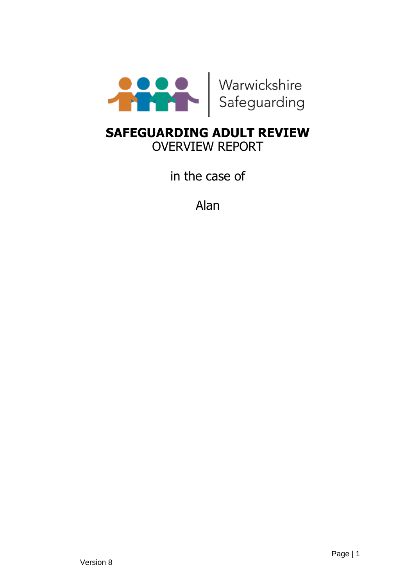

# **SAFEGUARDING ADULT REVIEW** OVERVIEW REPORT

in the case of

Alan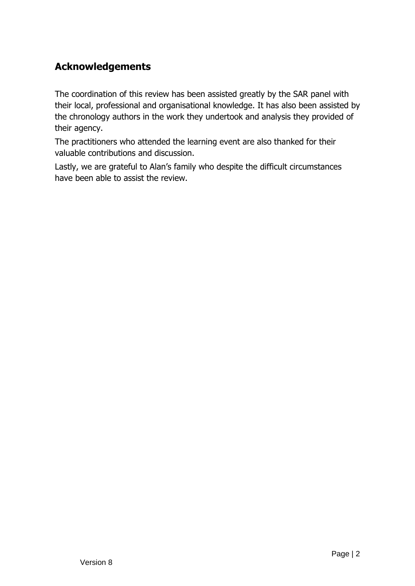## **Acknowledgements**

The coordination of this review has been assisted greatly by the SAR panel with their local, professional and organisational knowledge. It has also been assisted by the chronology authors in the work they undertook and analysis they provided of their agency.

The practitioners who attended the learning event are also thanked for their valuable contributions and discussion.

Lastly, we are grateful to Alan's family who despite the difficult circumstances have been able to assist the review.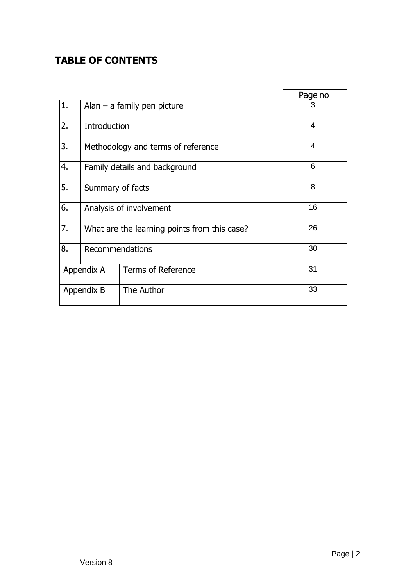## **TABLE OF CONTENTS**

|            |                                              |                               | Page no        |
|------------|----------------------------------------------|-------------------------------|----------------|
| 1.         |                                              | Alan $-$ a family pen picture | 3              |
| 2.         | Introduction                                 |                               | $\overline{4}$ |
| 3.         | Methodology and terms of reference           | 4                             |                |
| 4.         | Family details and background                |                               | 6              |
| 5.         | Summary of facts                             |                               | 8              |
| 6.         | Analysis of involvement                      |                               | 16             |
| 7.         | What are the learning points from this case? |                               | 26             |
| 8.         | <b>Recommendations</b>                       |                               | 30             |
| Appendix A |                                              | <b>Terms of Reference</b>     | 31             |
| Appendix B |                                              | The Author                    | 33             |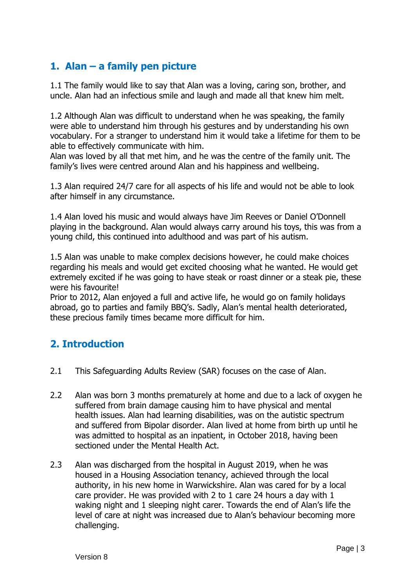## **1. Alan – a family pen picture**

1.1 The family would like to say that Alan was a loving, caring son, brother, and uncle. Alan had an infectious smile and laugh and made all that knew him melt.

1.2 Although Alan was difficult to understand when he was speaking, the family were able to understand him through his gestures and by understanding his own vocabulary. For a stranger to understand him it would take a lifetime for them to be able to effectively communicate with him.

Alan was loved by all that met him, and he was the centre of the family unit. The family's lives were centred around Alan and his happiness and wellbeing.

1.3 Alan required 24/7 care for all aspects of his life and would not be able to look after himself in any circumstance.

1.4 Alan loved his music and would always have Jim Reeves or Daniel O'Donnell playing in the background. Alan would always carry around his toys, this was from a young child, this continued into adulthood and was part of his autism.

1.5 Alan was unable to make complex decisions however, he could make choices regarding his meals and would get excited choosing what he wanted. He would get extremely excited if he was going to have steak or roast dinner or a steak pie, these were his favourite!

Prior to 2012, Alan enjoyed a full and active life, he would go on family holidays abroad, go to parties and family BBQ's. Sadly, Alan's mental health deteriorated, these precious family times became more difficult for him.

## **2. Introduction**

- 2.1 This Safeguarding Adults Review (SAR) focuses on the case of Alan.
- 2.2 Alan was born 3 months prematurely at home and due to a lack of oxygen he suffered from brain damage causing him to have physical and mental health issues. Alan had learning disabilities, was on the autistic spectrum and suffered from Bipolar disorder. Alan lived at home from birth up until he was admitted to hospital as an inpatient, in October 2018, having been sectioned under the Mental Health Act.
- 2.3 Alan was discharged from the hospital in August 2019, when he was housed in a Housing Association tenancy, achieved through the local authority, in his new home in Warwickshire. Alan was cared for by a local care provider. He was provided with 2 to 1 care 24 hours a day with 1 waking night and 1 sleeping night carer. Towards the end of Alan's life the level of care at night was increased due to Alan's behaviour becoming more challenging.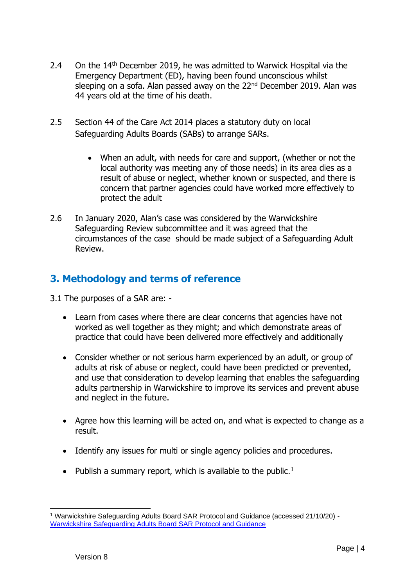- 2.4 On the 14<sup>th</sup> December 2019, he was admitted to Warwick Hospital via the Emergency Department (ED), having been found unconscious whilst sleeping on a sofa. Alan passed away on the 22<sup>nd</sup> December 2019. Alan was 44 years old at the time of his death.
- 2.5 Section 44 of the Care Act 2014 places a statutory duty on local Safeguarding Adults Boards (SABs) to arrange SARs.
	- When an adult, with needs for care and support, (whether or not the local authority was meeting any of those needs) in its area dies as a result of abuse or neglect, whether known or suspected, and there is concern that partner agencies could have worked more effectively to protect the adult
- 2.6 In January 2020, Alan's case was considered by the Warwickshire Safeguarding Review subcommittee and it was agreed that the circumstances of the case should be made subject of a Safeguarding Adult Review.

## **3. Methodology and terms of reference**

3.1 The purposes of a SAR are: -

- Learn from cases where there are clear concerns that agencies have not worked as well together as they might; and which demonstrate areas of practice that could have been delivered more effectively and additionally
- Consider whether or not serious harm experienced by an adult, or group of adults at risk of abuse or neglect, could have been predicted or prevented, and use that consideration to develop learning that enables the safeguarding adults partnership in Warwickshire to improve its services and prevent abuse and neglect in the future.
- Agree how this learning will be acted on, and what is expected to change as a result.
- Identify any issues for multi or single agency policies and procedures.
- Publish a summary report, which is available to the public.<sup>1</sup>

<sup>1</sup> Warwickshire Safeguarding Adults Board SAR Protocol and Guidance (accessed 21/10/20) - [Warwickshire Safeguarding Adults Board SAR Protocol and Guidance](https://www.safeguardingwarwickshire.co.uk/images/downloads/WSAB_SARs_Protocol_and_Guidance_-_June_2019_-_v30__.pdf)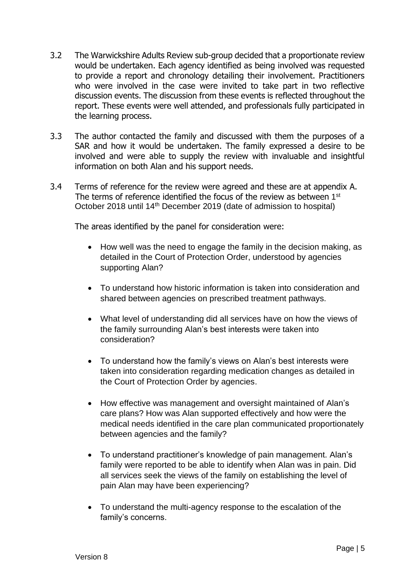- 3.2 The Warwickshire Adults Review sub-group decided that a proportionate review would be undertaken. Each agency identified as being involved was requested to provide a report and chronology detailing their involvement. Practitioners who were involved in the case were invited to take part in two reflective discussion events. The discussion from these events is reflected throughout the report. These events were well attended, and professionals fully participated in the learning process.
- 3.3 The author contacted the family and discussed with them the purposes of a SAR and how it would be undertaken. The family expressed a desire to be involved and were able to supply the review with invaluable and insightful information on both Alan and his support needs.
- 3.4 Terms of reference for the review were agreed and these are at appendix A. The terms of reference identified the focus of the review as between 1st October 2018 until 14th December 2019 (date of admission to hospital)

The areas identified by the panel for consideration were:

- How well was the need to engage the family in the decision making, as detailed in the Court of Protection Order, understood by agencies supporting Alan?
- To understand how historic information is taken into consideration and shared between agencies on prescribed treatment pathways.
- What level of understanding did all services have on how the views of the family surrounding Alan's best interests were taken into consideration?
- To understand how the family's views on Alan's best interests were taken into consideration regarding medication changes as detailed in the Court of Protection Order by agencies.
- How effective was management and oversight maintained of Alan's care plans? How was Alan supported effectively and how were the medical needs identified in the care plan communicated proportionately between agencies and the family?
- To understand practitioner's knowledge of pain management. Alan's family were reported to be able to identify when Alan was in pain. Did all services seek the views of the family on establishing the level of pain Alan may have been experiencing?
- To understand the multi-agency response to the escalation of the family's concerns.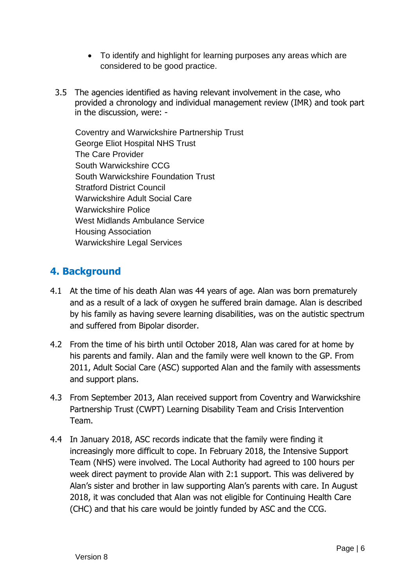- To identify and highlight for learning purposes any areas which are considered to be good practice.
- 3.5 The agencies identified as having relevant involvement in the case, who provided a chronology and individual management review (IMR) and took part in the discussion, were: -

Coventry and Warwickshire Partnership Trust George Eliot Hospital NHS Trust The Care Provider South Warwickshire CCG South Warwickshire Foundation Trust Stratford District Council Warwickshire Adult Social Care Warwickshire Police West Midlands Ambulance Service Housing Association Warwickshire Legal Services

### **4. Background**

- 4.1 At the time of his death Alan was 44 years of age. Alan was born prematurely and as a result of a lack of oxygen he suffered brain damage. Alan is described by his family as having severe learning disabilities, was on the autistic spectrum and suffered from Bipolar disorder.
- 4.2 From the time of his birth until October 2018, Alan was cared for at home by his parents and family. Alan and the family were well known to the GP. From 2011, Adult Social Care (ASC) supported Alan and the family with assessments and support plans.
- 4.3 From September 2013, Alan received support from Coventry and Warwickshire Partnership Trust (CWPT) Learning Disability Team and Crisis Intervention Team.
- 4.4 In January 2018, ASC records indicate that the family were finding it increasingly more difficult to cope. In February 2018, the Intensive Support Team (NHS) were involved. The Local Authority had agreed to 100 hours per week direct payment to provide Alan with 2:1 support. This was delivered by Alan's sister and brother in law supporting Alan's parents with care. In August 2018, it was concluded that Alan was not eligible for Continuing Health Care (CHC) and that his care would be jointly funded by ASC and the CCG.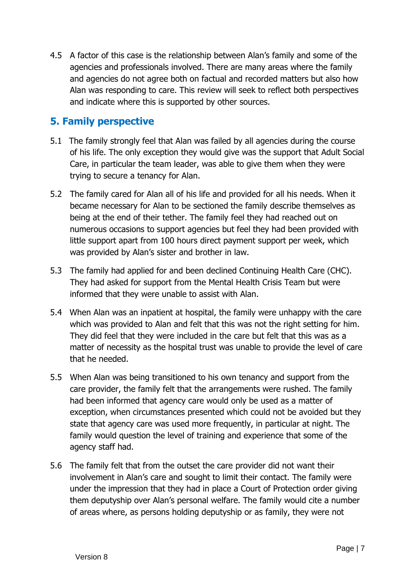4.5 A factor of this case is the relationship between Alan's family and some of the agencies and professionals involved. There are many areas where the family and agencies do not agree both on factual and recorded matters but also how Alan was responding to care. This review will seek to reflect both perspectives and indicate where this is supported by other sources.

### **5. Family perspective**

- 5.1 The family strongly feel that Alan was failed by all agencies during the course of his life. The only exception they would give was the support that Adult Social Care, in particular the team leader, was able to give them when they were trying to secure a tenancy for Alan.
- 5.2 The family cared for Alan all of his life and provided for all his needs. When it became necessary for Alan to be sectioned the family describe themselves as being at the end of their tether. The family feel they had reached out on numerous occasions to support agencies but feel they had been provided with little support apart from 100 hours direct payment support per week, which was provided by Alan's sister and brother in law.
- 5.3 The family had applied for and been declined Continuing Health Care (CHC). They had asked for support from the Mental Health Crisis Team but were informed that they were unable to assist with Alan.
- 5.4 When Alan was an inpatient at hospital, the family were unhappy with the care which was provided to Alan and felt that this was not the right setting for him. They did feel that they were included in the care but felt that this was as a matter of necessity as the hospital trust was unable to provide the level of care that he needed.
- 5.5 When Alan was being transitioned to his own tenancy and support from the care provider, the family felt that the arrangements were rushed. The family had been informed that agency care would only be used as a matter of exception, when circumstances presented which could not be avoided but they state that agency care was used more frequently, in particular at night. The family would question the level of training and experience that some of the agency staff had.
- 5.6 The family felt that from the outset the care provider did not want their involvement in Alan's care and sought to limit their contact. The family were under the impression that they had in place a Court of Protection order giving them deputyship over Alan's personal welfare. The family would cite a number of areas where, as persons holding deputyship or as family, they were not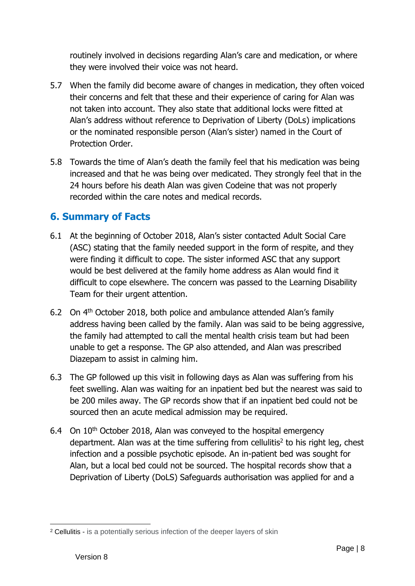routinely involved in decisions regarding Alan's care and medication, or where they were involved their voice was not heard.

- 5.7 When the family did become aware of changes in medication, they often voiced their concerns and felt that these and their experience of caring for Alan was not taken into account. They also state that additional locks were fitted at Alan's address without reference to Deprivation of Liberty (DoLs) implications or the nominated responsible person (Alan's sister) named in the Court of Protection Order.
- 5.8 Towards the time of Alan's death the family feel that his medication was being increased and that he was being over medicated. They strongly feel that in the 24 hours before his death Alan was given Codeine that was not properly recorded within the care notes and medical records.

## **6. Summary of Facts**

- 6.1 At the beginning of October 2018, Alan's sister contacted Adult Social Care (ASC) stating that the family needed support in the form of respite, and they were finding it difficult to cope. The sister informed ASC that any support would be best delivered at the family home address as Alan would find it difficult to cope elsewhere. The concern was passed to the Learning Disability Team for their urgent attention.
- 6.2 On 4th October 2018, both police and ambulance attended Alan's family address having been called by the family. Alan was said to be being aggressive, the family had attempted to call the mental health crisis team but had been unable to get a response. The GP also attended, and Alan was prescribed Diazepam to assist in calming him.
- 6.3 The GP followed up this visit in following days as Alan was suffering from his feet swelling. Alan was waiting for an inpatient bed but the nearest was said to be 200 miles away. The GP records show that if an inpatient bed could not be sourced then an acute medical admission may be required.
- 6.4 On  $10<sup>th</sup>$  October 2018, Alan was conveved to the hospital emergency department. Alan was at the time suffering from cellulitis<sup>2</sup> to his right leg, chest infection and a possible psychotic episode. An in-patient bed was sought for Alan, but a local bed could not be sourced. The hospital records show that a Deprivation of Liberty (DoLS) Safeguards authorisation was applied for and a

<sup>2</sup> Cellulitis - is a potentially serious infection of the deeper layers of skin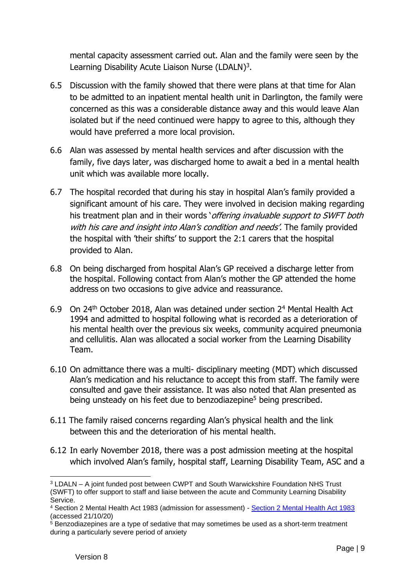mental capacity assessment carried out. Alan and the family were seen by the Learning Disability Acute Liaison Nurse (LDALN)<sup>3</sup>.

- 6.5 Discussion with the family showed that there were plans at that time for Alan to be admitted to an inpatient mental health unit in Darlington, the family were concerned as this was a considerable distance away and this would leave Alan isolated but if the need continued were happy to agree to this, although they would have preferred a more local provision.
- 6.6 Alan was assessed by mental health services and after discussion with the family, five days later, was discharged home to await a bed in a mental health unit which was available more locally.
- 6.7 The hospital recorded that during his stay in hospital Alan's family provided a significant amount of his care. They were involved in decision making regarding his treatment plan and in their words 'offering invaluable support to SWFT both with his care and insight into Alan's condition and needs'. The family provided the hospital with 'their shifts' to support the 2:1 carers that the hospital provided to Alan.
- 6.8 On being discharged from hospital Alan's GP received a discharge letter from the hospital. Following contact from Alan's mother the GP attended the home address on two occasions to give advice and reassurance.
- 6.9 On 24th October 2018, Alan was detained under section 2<sup>4</sup> Mental Health Act 1994 and admitted to hospital following what is recorded as a deterioration of his mental health over the previous six weeks, community acquired pneumonia and cellulitis. Alan was allocated a social worker from the Learning Disability Team.
- 6.10 On admittance there was a multi- disciplinary meeting (MDT) which discussed Alan's medication and his reluctance to accept this from staff. The family were consulted and gave their assistance. It was also noted that Alan presented as being unsteady on his feet due to benzodiazepine<sup>5</sup> being prescribed.
- 6.11 The family raised concerns regarding Alan's physical health and the link between this and the deterioration of his mental health.
- 6.12 In early November 2018, there was a post admission meeting at the hospital which involved Alan's family, hospital staff, Learning Disability Team, ASC and a

<sup>3</sup> LDALN – A joint funded post between CWPT and South Warwickshire Foundation NHS Trust (SWFT) to offer support to staff and liaise between the acute and Community Learning Disability Service.

<sup>4</sup> Section 2 Mental Health Act 1983 (admission for assessment) - [Section 2 Mental Health Act 1983](https://www.legislation.gov.uk/ukpga/1983/20/section/2)  (accessed 21/10/20)

<sup>5</sup> Benzodiazepines are a type of sedative that may sometimes be used as a short-term treatment during a particularly severe period of anxiety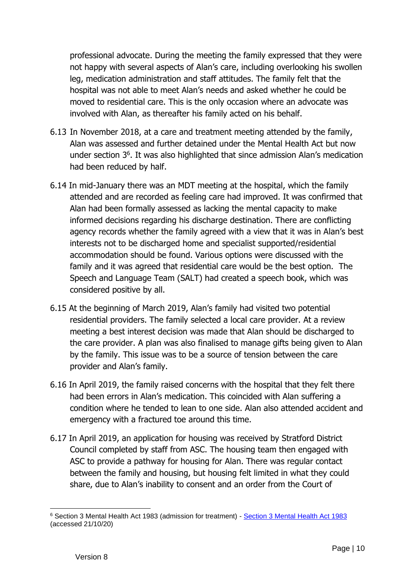professional advocate. During the meeting the family expressed that they were not happy with several aspects of Alan's care, including overlooking his swollen leg, medication administration and staff attitudes. The family felt that the hospital was not able to meet Alan's needs and asked whether he could be moved to residential care. This is the only occasion where an advocate was involved with Alan, as thereafter his family acted on his behalf.

- 6.13 In November 2018, at a care and treatment meeting attended by the family, Alan was assessed and further detained under the Mental Health Act but now under section 3<sup>6</sup> . It was also highlighted that since admission Alan's medication had been reduced by half.
- 6.14 In mid-January there was an MDT meeting at the hospital, which the family attended and are recorded as feeling care had improved. It was confirmed that Alan had been formally assessed as lacking the mental capacity to make informed decisions regarding his discharge destination. There are conflicting agency records whether the family agreed with a view that it was in Alan's best interests not to be discharged home and specialist supported/residential accommodation should be found. Various options were discussed with the family and it was agreed that residential care would be the best option. The Speech and Language Team (SALT) had created a speech book, which was considered positive by all.
- 6.15 At the beginning of March 2019, Alan's family had visited two potential residential providers. The family selected a local care provider. At a review meeting a best interest decision was made that Alan should be discharged to the care provider. A plan was also finalised to manage gifts being given to Alan by the family. This issue was to be a source of tension between the care provider and Alan's family.
- 6.16 In April 2019, the family raised concerns with the hospital that they felt there had been errors in Alan's medication. This coincided with Alan suffering a condition where he tended to lean to one side. Alan also attended accident and emergency with a fractured toe around this time.
- 6.17 In April 2019, an application for housing was received by Stratford District Council completed by staff from ASC. The housing team then engaged with ASC to provide a pathway for housing for Alan. There was regular contact between the family and housing, but housing felt limited in what they could share, due to Alan's inability to consent and an order from the Court of

<sup>6</sup> Section 3 Mental Health Act 1983 (admission for treatment) - [Section 3 Mental Health Act 1983](https://www.legislation.gov.uk/ukpga/1983/20/section/3)  (accessed 21/10/20)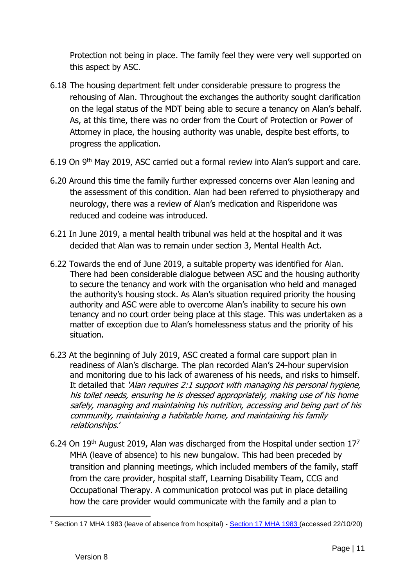Protection not being in place. The family feel they were very well supported on this aspect by ASC.

- 6.18 The housing department felt under considerable pressure to progress the rehousing of Alan. Throughout the exchanges the authority sought clarification on the legal status of the MDT being able to secure a tenancy on Alan's behalf. As, at this time, there was no order from the Court of Protection or Power of Attorney in place, the housing authority was unable, despite best efforts, to progress the application.
- 6.19 On 9th May 2019, ASC carried out a formal review into Alan's support and care.
- 6.20 Around this time the family further expressed concerns over Alan leaning and the assessment of this condition. Alan had been referred to physiotherapy and neurology, there was a review of Alan's medication and Risperidone was reduced and codeine was introduced.
- 6.21 In June 2019, a mental health tribunal was held at the hospital and it was decided that Alan was to remain under section 3, Mental Health Act.
- 6.22 Towards the end of June 2019, a suitable property was identified for Alan. There had been considerable dialogue between ASC and the housing authority to secure the tenancy and work with the organisation who held and managed the authority's housing stock. As Alan's situation required priority the housing authority and ASC were able to overcome Alan's inability to secure his own tenancy and no court order being place at this stage. This was undertaken as a matter of exception due to Alan's homelessness status and the priority of his situation.
- 6.23 At the beginning of July 2019, ASC created a formal care support plan in readiness of Alan's discharge. The plan recorded Alan's 24-hour supervision and monitoring due to his lack of awareness of his needs, and risks to himself. It detailed that 'Alan requires 2:1 support with managing his personal hygiene, his toilet needs, ensuring he is dressed appropriately, making use of his home safely, managing and maintaining his nutrition, accessing and being part of his community, maintaining a habitable home, and maintaining his family relationships.'
- 6.24 On 19<sup>th</sup> August 2019, Alan was discharged from the Hospital under section  $17<sup>7</sup>$ MHA (leave of absence) to his new bungalow. This had been preceded by transition and planning meetings, which included members of the family, staff from the care provider, hospital staff, Learning Disability Team, CCG and Occupational Therapy. A communication protocol was put in place detailing how the care provider would communicate with the family and a plan to

<sup>7</sup> Section 17 MHA 1983 (leave of absence from hospital) - [Section 17 MHA 1983 \(](https://www.legislation.gov.uk/ukpga/1983/20/section/17)accessed 22/10/20)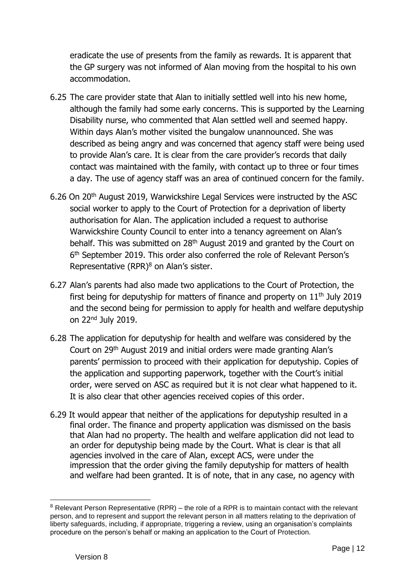eradicate the use of presents from the family as rewards. It is apparent that the GP surgery was not informed of Alan moving from the hospital to his own accommodation.

- 6.25 The care provider state that Alan to initially settled well into his new home, although the family had some early concerns. This is supported by the Learning Disability nurse, who commented that Alan settled well and seemed happy. Within days Alan's mother visited the bungalow unannounced. She was described as being angry and was concerned that agency staff were being used to provide Alan's care. It is clear from the care provider's records that daily contact was maintained with the family, with contact up to three or four times a day. The use of agency staff was an area of continued concern for the family.
- 6.26 On 20th August 2019, Warwickshire Legal Services were instructed by the ASC social worker to apply to the Court of Protection for a deprivation of liberty authorisation for Alan. The application included a request to authorise Warwickshire County Council to enter into a tenancy agreement on Alan's behalf. This was submitted on 28<sup>th</sup> August 2019 and granted by the Court on 6<sup>th</sup> September 2019. This order also conferred the role of Relevant Person's Representative  $(RPR)^8$  on Alan's sister.
- 6.27 Alan's parents had also made two applications to the Court of Protection, the first being for deputyship for matters of finance and property on  $11<sup>th</sup>$  July 2019 and the second being for permission to apply for health and welfare deputyship on 22nd July 2019.
- 6.28 The application for deputyship for health and welfare was considered by the Court on 29th August 2019 and initial orders were made granting Alan's parents' permission to proceed with their application for deputyship. Copies of the application and supporting paperwork, together with the Court's initial order, were served on ASC as required but it is not clear what happened to it. It is also clear that other agencies received copies of this order.
- 6.29 It would appear that neither of the applications for deputyship resulted in a final order. The finance and property application was dismissed on the basis that Alan had no property. The health and welfare application did not lead to an order for deputyship being made by the Court. What is clear is that all agencies involved in the care of Alan, except ACS, were under the impression that the order giving the family deputyship for matters of health and welfare had been granted. It is of note, that in any case, no agency with

 $8$  Relevant Person Representative (RPR) – the role of a RPR is to maintain contact with the relevant person, and to represent and support the relevant person in all matters relating to the deprivation of liberty safeguards, including, if appropriate, triggering a review, using an organisation's complaints procedure on the person's behalf or making an application to the Court of Protection.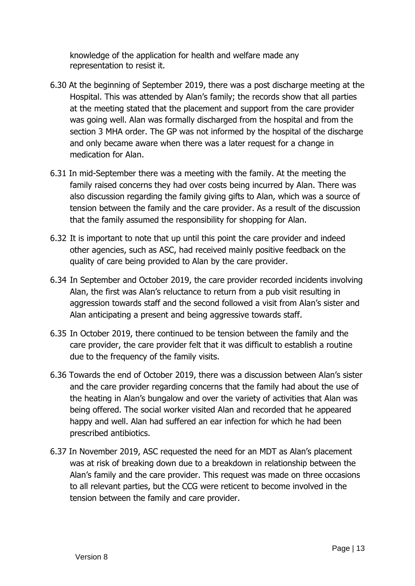knowledge of the application for health and welfare made any representation to resist it.

- 6.30 At the beginning of September 2019, there was a post discharge meeting at the Hospital. This was attended by Alan's family; the records show that all parties at the meeting stated that the placement and support from the care provider was going well. Alan was formally discharged from the hospital and from the section 3 MHA order. The GP was not informed by the hospital of the discharge and only became aware when there was a later request for a change in medication for Alan.
- 6.31 In mid-September there was a meeting with the family. At the meeting the family raised concerns they had over costs being incurred by Alan. There was also discussion regarding the family giving gifts to Alan, which was a source of tension between the family and the care provider. As a result of the discussion that the family assumed the responsibility for shopping for Alan.
- 6.32 It is important to note that up until this point the care provider and indeed other agencies, such as ASC, had received mainly positive feedback on the quality of care being provided to Alan by the care provider.
- 6.34 In September and October 2019, the care provider recorded incidents involving Alan, the first was Alan's reluctance to return from a pub visit resulting in aggression towards staff and the second followed a visit from Alan's sister and Alan anticipating a present and being aggressive towards staff.
- 6.35 In October 2019, there continued to be tension between the family and the care provider, the care provider felt that it was difficult to establish a routine due to the frequency of the family visits.
- 6.36 Towards the end of October 2019, there was a discussion between Alan's sister and the care provider regarding concerns that the family had about the use of the heating in Alan's bungalow and over the variety of activities that Alan was being offered. The social worker visited Alan and recorded that he appeared happy and well. Alan had suffered an ear infection for which he had been prescribed antibiotics.
- 6.37 In November 2019, ASC requested the need for an MDT as Alan's placement was at risk of breaking down due to a breakdown in relationship between the Alan's family and the care provider. This request was made on three occasions to all relevant parties, but the CCG were reticent to become involved in the tension between the family and care provider.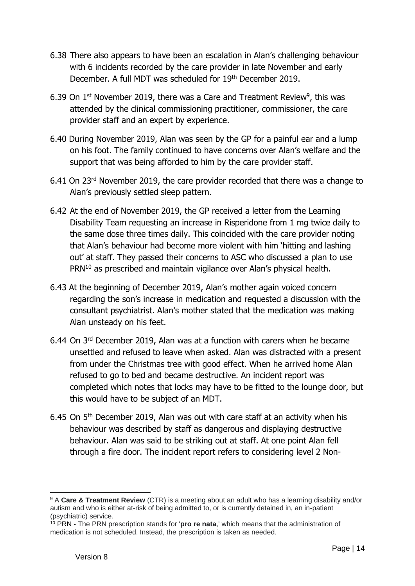- 6.38 There also appears to have been an escalation in Alan's challenging behaviour with 6 incidents recorded by the care provider in late November and early December. A full MDT was scheduled for 19th December 2019.
- 6.39 On  $1<sup>st</sup>$  November 2019, there was a Care and Treatment Review<sup>9</sup>, this was attended by the clinical commissioning practitioner, commissioner, the care provider staff and an expert by experience.
- 6.40 During November 2019, Alan was seen by the GP for a painful ear and a lump on his foot. The family continued to have concerns over Alan's welfare and the support that was being afforded to him by the care provider staff.
- 6.41 On 23rd November 2019, the care provider recorded that there was a change to Alan's previously settled sleep pattern.
- 6.42 At the end of November 2019, the GP received a letter from the Learning Disability Team requesting an increase in Risperidone from 1 mg twice daily to the same dose three times daily. This coincided with the care provider noting that Alan's behaviour had become more violent with him 'hitting and lashing out' at staff. They passed their concerns to ASC who discussed a plan to use  $PRN<sup>10</sup>$  as prescribed and maintain vigilance over Alan's physical health.
- 6.43 At the beginning of December 2019, Alan's mother again voiced concern regarding the son's increase in medication and requested a discussion with the consultant psychiatrist. Alan's mother stated that the medication was making Alan unsteady on his feet.
- 6.44 On 3rd December 2019, Alan was at a function with carers when he became unsettled and refused to leave when asked. Alan was distracted with a present from under the Christmas tree with good effect. When he arrived home Alan refused to go to bed and became destructive. An incident report was completed which notes that locks may have to be fitted to the lounge door, but this would have to be subject of an MDT.
- 6.45 On  $5<sup>th</sup>$  December 2019, Alan was out with care staff at an activity when his behaviour was described by staff as dangerous and displaying destructive behaviour. Alan was said to be striking out at staff. At one point Alan fell through a fire door. The incident report refers to considering level 2 Non-

<sup>9</sup> A **Care & Treatment Review** (CTR) is a meeting about an adult who has a learning disability and/or autism and who is either at-risk of being admitted to, or is currently detained in, an in-patient (psychiatric) service.

<sup>10</sup> PRN - The PRN prescription stands for '**pro re nata**,' which means that the administration of medication is not scheduled. Instead, the prescription is taken as needed.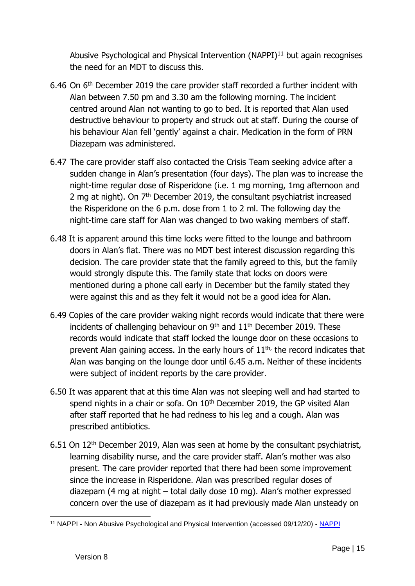Abusive Psychological and Physical Intervention  $(NAPPI)^{11}$  but again recognises the need for an MDT to discuss this.

- 6.46 On 6th December 2019 the care provider staff recorded a further incident with Alan between 7.50 pm and 3.30 am the following morning. The incident centred around Alan not wanting to go to bed. It is reported that Alan used destructive behaviour to property and struck out at staff. During the course of his behaviour Alan fell 'gently' against a chair. Medication in the form of PRN Diazepam was administered.
- 6.47 The care provider staff also contacted the Crisis Team seeking advice after a sudden change in Alan's presentation (four days). The plan was to increase the night-time regular dose of Risperidone (i.e. 1 mg morning, 1mg afternoon and 2 mg at night). On  $7<sup>th</sup>$  December 2019, the consultant psychiatrist increased the Risperidone on the 6 p.m. dose from 1 to 2 ml. The following day the night-time care staff for Alan was changed to two waking members of staff.
- 6.48 It is apparent around this time locks were fitted to the lounge and bathroom doors in Alan's flat. There was no MDT best interest discussion regarding this decision. The care provider state that the family agreed to this, but the family would strongly dispute this. The family state that locks on doors were mentioned during a phone call early in December but the family stated they were against this and as they felt it would not be a good idea for Alan.
- 6.49 Copies of the care provider waking night records would indicate that there were incidents of challenging behaviour on  $9<sup>th</sup>$  and  $11<sup>th</sup>$  December 2019. These records would indicate that staff locked the lounge door on these occasions to prevent Alan gaining access. In the early hours of  $11<sup>th</sup>$ , the record indicates that Alan was banging on the lounge door until 6.45 a.m. Neither of these incidents were subject of incident reports by the care provider.
- 6.50 It was apparent that at this time Alan was not sleeping well and had started to spend nights in a chair or sofa. On 10<sup>th</sup> December 2019, the GP visited Alan after staff reported that he had redness to his leg and a cough. Alan was prescribed antibiotics.
- 6.51 On 12th December 2019, Alan was seen at home by the consultant psychiatrist, learning disability nurse, and the care provider staff. Alan's mother was also present. The care provider reported that there had been some improvement since the increase in Risperidone. Alan was prescribed regular doses of diazepam (4 mg at night – total daily dose 10 mg). Alan's mother expressed concern over the use of diazepam as it had previously made Alan unsteady on

<sup>11</sup> NAPPI - Non Abusive Psychological and Physical Intervention (accessed 09/12/20) - [NAPPI](https://www.nappiuk.com/)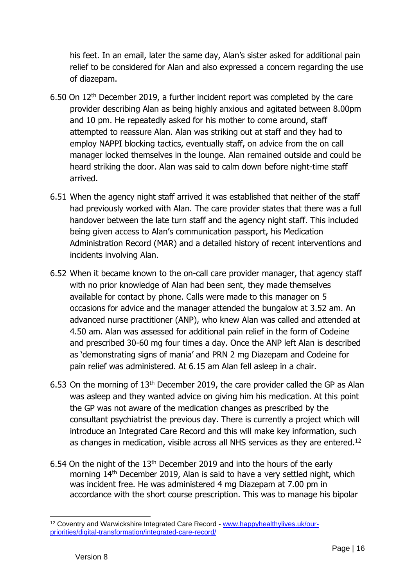his feet. In an email, later the same day, Alan's sister asked for additional pain relief to be considered for Alan and also expressed a concern regarding the use of diazepam.

- 6.50 On 12th December 2019, a further incident report was completed by the care provider describing Alan as being highly anxious and agitated between 8.00pm and 10 pm. He repeatedly asked for his mother to come around, staff attempted to reassure Alan. Alan was striking out at staff and they had to employ NAPPI blocking tactics, eventually staff, on advice from the on call manager locked themselves in the lounge. Alan remained outside and could be heard striking the door. Alan was said to calm down before night-time staff arrived.
- 6.51 When the agency night staff arrived it was established that neither of the staff had previously worked with Alan. The care provider states that there was a full handover between the late turn staff and the agency night staff. This included being given access to Alan's communication passport, his Medication Administration Record (MAR) and a detailed history of recent interventions and incidents involving Alan.
- 6.52 When it became known to the on-call care provider manager, that agency staff with no prior knowledge of Alan had been sent, they made themselves available for contact by phone. Calls were made to this manager on 5 occasions for advice and the manager attended the bungalow at 3.52 am. An advanced nurse practitioner (ANP), who knew Alan was called and attended at 4.50 am. Alan was assessed for additional pain relief in the form of Codeine and prescribed 30-60 mg four times a day. Once the ANP left Alan is described as 'demonstrating signs of mania' and PRN 2 mg Diazepam and Codeine for pain relief was administered. At 6.15 am Alan fell asleep in a chair.
- 6.53 On the morning of 13th December 2019, the care provider called the GP as Alan was asleep and they wanted advice on giving him his medication. At this point the GP was not aware of the medication changes as prescribed by the consultant psychiatrist the previous day. There is currently a project which will introduce an Integrated Care Record and this will make key information, such as changes in medication, visible across all NHS services as they are entered.<sup>12</sup>
- 6.54 On the night of the 13th December 2019 and into the hours of the early morning 14th December 2019, Alan is said to have a very settled night, which was incident free. He was administered 4 mg Diazepam at 7.00 pm in accordance with the short course prescription. This was to manage his bipolar

<sup>12</sup> Coventry and Warwickshire Integrated Care Record - [www.happyhealthylives.uk/our](http://www.happyhealthylives.uk/our-priorities/digital-transformation/integrated-care-record/)[priorities/digital-transformation/integrated-care-record/](http://www.happyhealthylives.uk/our-priorities/digital-transformation/integrated-care-record/)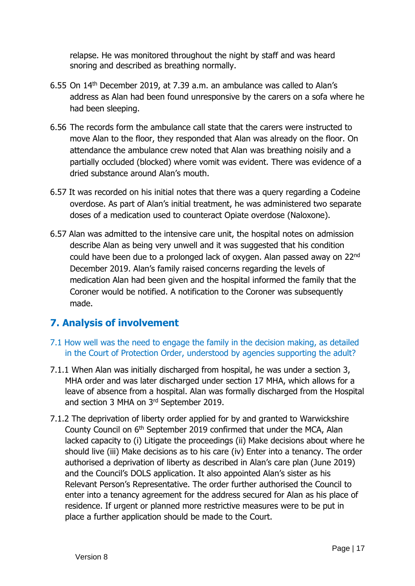relapse. He was monitored throughout the night by staff and was heard snoring and described as breathing normally.

- 6.55 On 14th December 2019, at 7.39 a.m. an ambulance was called to Alan's address as Alan had been found unresponsive by the carers on a sofa where he had been sleeping.
- 6.56 The records form the ambulance call state that the carers were instructed to move Alan to the floor, they responded that Alan was already on the floor. On attendance the ambulance crew noted that Alan was breathing noisily and a partially occluded (blocked) where vomit was evident. There was evidence of a dried substance around Alan's mouth.
- 6.57 It was recorded on his initial notes that there was a query regarding a Codeine overdose. As part of Alan's initial treatment, he was administered two separate doses of a medication used to counteract Opiate overdose (Naloxone).
- 6.57 Alan was admitted to the intensive care unit, the hospital notes on admission describe Alan as being very unwell and it was suggested that his condition could have been due to a prolonged lack of oxygen. Alan passed away on 22nd December 2019. Alan's family raised concerns regarding the levels of medication Alan had been given and the hospital informed the family that the Coroner would be notified. A notification to the Coroner was subsequently made.

### **7. Analysis of involvement**

- 7.1 How well was the need to engage the family in the decision making, as detailed in the Court of Protection Order, understood by agencies supporting the adult?
- 7.1.1 When Alan was initially discharged from hospital, he was under a section 3, MHA order and was later discharged under section 17 MHA, which allows for a leave of absence from a hospital. Alan was formally discharged from the Hospital and section 3 MHA on 3rd September 2019.
- 7.1.2 The deprivation of liberty order applied for by and granted to Warwickshire County Council on 6<sup>th</sup> September 2019 confirmed that under the MCA, Alan lacked capacity to (i) Litigate the proceedings (ii) Make decisions about where he should live (iii) Make decisions as to his care (iv) Enter into a tenancy. The order authorised a deprivation of liberty as described in Alan's care plan (June 2019) and the Council's DOLS application. It also appointed Alan's sister as his Relevant Person's Representative. The order further authorised the Council to enter into a tenancy agreement for the address secured for Alan as his place of residence. If urgent or planned more restrictive measures were to be put in place a further application should be made to the Court.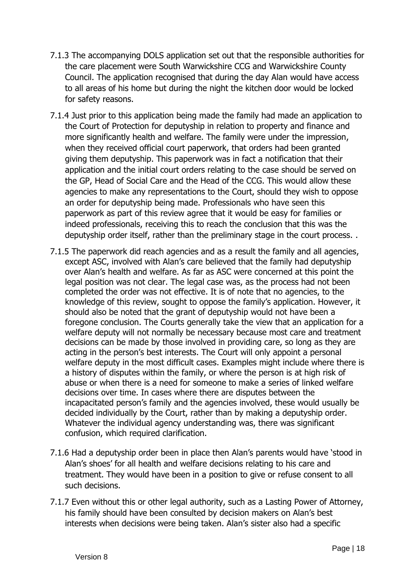- 7.1.3 The accompanying DOLS application set out that the responsible authorities for the care placement were South Warwickshire CCG and Warwickshire County Council. The application recognised that during the day Alan would have access to all areas of his home but during the night the kitchen door would be locked for safety reasons.
- 7.1.4 Just prior to this application being made the family had made an application to the Court of Protection for deputyship in relation to property and finance and more significantly health and welfare. The family were under the impression, when they received official court paperwork, that orders had been granted giving them deputyship. This paperwork was in fact a notification that their application and the initial court orders relating to the case should be served on the GP, Head of Social Care and the Head of the CCG. This would allow these agencies to make any representations to the Court, should they wish to oppose an order for deputyship being made. Professionals who have seen this paperwork as part of this review agree that it would be easy for families or indeed professionals, receiving this to reach the conclusion that this was the deputyship order itself, rather than the preliminary stage in the court process. .
- 7.1.5 The paperwork did reach agencies and as a result the family and all agencies, except ASC, involved with Alan's care believed that the family had deputyship over Alan's health and welfare. As far as ASC were concerned at this point the legal position was not clear. The legal case was, as the process had not been completed the order was not effective. It is of note that no agencies, to the knowledge of this review, sought to oppose the family's application. However, it should also be noted that the grant of deputyship would not have been a foregone conclusion. The Courts generally take the view that an application for a welfare deputy will not normally be necessary because most care and treatment decisions can be made by those involved in providing care, so long as they are acting in the person's best interests. The Court will only appoint a personal welfare deputy in the most difficult cases. Examples might include where there is a history of disputes within the family, or where the person is at high risk of abuse or when there is a need for someone to make a series of linked welfare decisions over time. In cases where there are disputes between the incapacitated person's family and the agencies involved, these would usually be decided individually by the Court, rather than by making a deputyship order. Whatever the individual agency understanding was, there was significant confusion, which required clarification.
- 7.1.6 Had a deputyship order been in place then Alan's parents would have 'stood in Alan's shoes' for all health and welfare decisions relating to his care and treatment. They would have been in a position to give or refuse consent to all such decisions.
- 7.1.7 Even without this or other legal authority, such as a Lasting Power of Attorney, his family should have been consulted by decision makers on Alan's best interests when decisions were being taken. Alan's sister also had a specific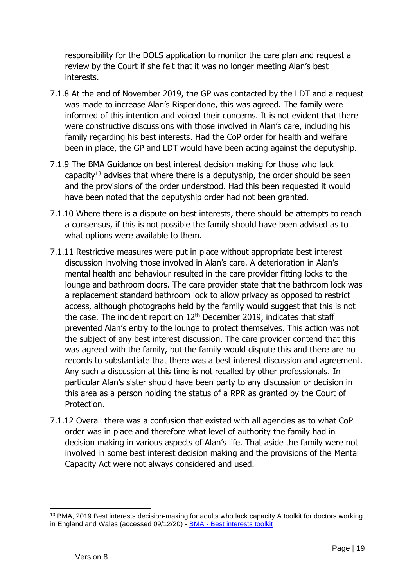responsibility for the DOLS application to monitor the care plan and request a review by the Court if she felt that it was no longer meeting Alan's best interests.

- 7.1.8 At the end of November 2019, the GP was contacted by the LDT and a request was made to increase Alan's Risperidone, this was agreed. The family were informed of this intention and voiced their concerns. It is not evident that there were constructive discussions with those involved in Alan's care, including his family regarding his best interests. Had the CoP order for health and welfare been in place, the GP and LDT would have been acting against the deputyship.
- 7.1.9 The BMA Guidance on best interest decision making for those who lack capacity<sup>13</sup> advises that where there is a deputyship, the order should be seen and the provisions of the order understood. Had this been requested it would have been noted that the deputyship order had not been granted.
- 7.1.10 Where there is a dispute on best interests, there should be attempts to reach a consensus, if this is not possible the family should have been advised as to what options were available to them.
- 7.1.11 Restrictive measures were put in place without appropriate best interest discussion involving those involved in Alan's care. A deterioration in Alan's mental health and behaviour resulted in the care provider fitting locks to the lounge and bathroom doors. The care provider state that the bathroom lock was a replacement standard bathroom lock to allow privacy as opposed to restrict access, although photographs held by the family would suggest that this is not the case. The incident report on  $12<sup>th</sup>$  December 2019, indicates that staff prevented Alan's entry to the lounge to protect themselves. This action was not the subject of any best interest discussion. The care provider contend that this was agreed with the family, but the family would dispute this and there are no records to substantiate that there was a best interest discussion and agreement. Any such a discussion at this time is not recalled by other professionals. In particular Alan's sister should have been party to any discussion or decision in this area as a person holding the status of a RPR as granted by the Court of Protection.
- 7.1.12 Overall there was a confusion that existed with all agencies as to what CoP order was in place and therefore what level of authority the family had in decision making in various aspects of Alan's life. That aside the family were not involved in some best interest decision making and the provisions of the Mental Capacity Act were not always considered and used.

<sup>13</sup> BMA, 2019 Best interests decision-making for adults who lack capacity A toolkit for doctors working in England and Wales (accessed 09/12/20) - BMA - [Best interests toolkit](https://www.bma.org.uk/media/1850/bma-best-interests-toolkit-2019.pdf)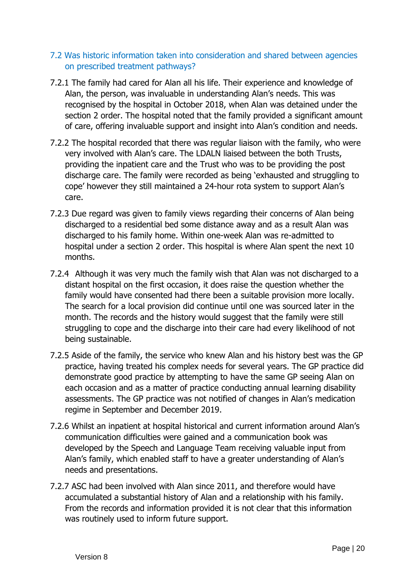### 7.2 Was historic information taken into consideration and shared between agencies on prescribed treatment pathways?

- 7.2.1 The family had cared for Alan all his life. Their experience and knowledge of Alan, the person, was invaluable in understanding Alan's needs. This was recognised by the hospital in October 2018, when Alan was detained under the section 2 order. The hospital noted that the family provided a significant amount of care, offering invaluable support and insight into Alan's condition and needs.
- 7.2.2 The hospital recorded that there was regular liaison with the family, who were very involved with Alan's care. The LDALN liaised between the both Trusts, providing the inpatient care and the Trust who was to be providing the post discharge care. The family were recorded as being 'exhausted and struggling to cope' however they still maintained a 24-hour rota system to support Alan's care.
- 7.2.3 Due regard was given to family views regarding their concerns of Alan being discharged to a residential bed some distance away and as a result Alan was discharged to his family home. Within one-week Alan was re-admitted to hospital under a section 2 order. This hospital is where Alan spent the next 10 months.
- 7.2.4 Although it was very much the family wish that Alan was not discharged to a distant hospital on the first occasion, it does raise the question whether the family would have consented had there been a suitable provision more locally. The search for a local provision did continue until one was sourced later in the month. The records and the history would suggest that the family were still struggling to cope and the discharge into their care had every likelihood of not being sustainable.
- 7.2.5 Aside of the family, the service who knew Alan and his history best was the GP practice, having treated his complex needs for several years. The GP practice did demonstrate good practice by attempting to have the same GP seeing Alan on each occasion and as a matter of practice conducting annual learning disability assessments. The GP practice was not notified of changes in Alan's medication regime in September and December 2019.
- 7.2.6 Whilst an inpatient at hospital historical and current information around Alan's communication difficulties were gained and a communication book was developed by the Speech and Language Team receiving valuable input from Alan's family, which enabled staff to have a greater understanding of Alan's needs and presentations.
- 7.2.7 ASC had been involved with Alan since 2011, and therefore would have accumulated a substantial history of Alan and a relationship with his family. From the records and information provided it is not clear that this information was routinely used to inform future support.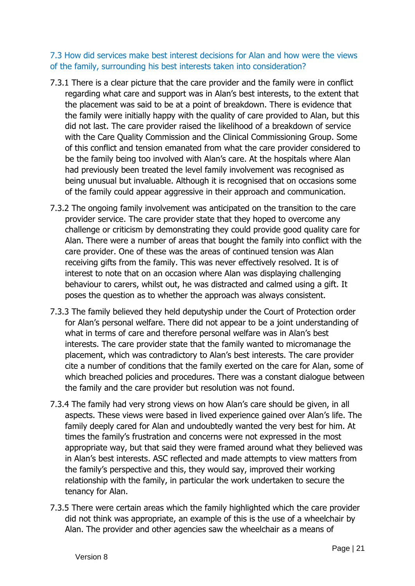### 7.3 How did services make best interest decisions for Alan and how were the views of the family, surrounding his best interests taken into consideration?

- 7.3.1 There is a clear picture that the care provider and the family were in conflict regarding what care and support was in Alan's best interests, to the extent that the placement was said to be at a point of breakdown. There is evidence that the family were initially happy with the quality of care provided to Alan, but this did not last. The care provider raised the likelihood of a breakdown of service with the Care Quality Commission and the Clinical Commissioning Group. Some of this conflict and tension emanated from what the care provider considered to be the family being too involved with Alan's care. At the hospitals where Alan had previously been treated the level family involvement was recognised as being unusual but invaluable. Although it is recognised that on occasions some of the family could appear aggressive in their approach and communication.
- 7.3.2 The ongoing family involvement was anticipated on the transition to the care provider service. The care provider state that they hoped to overcome any challenge or criticism by demonstrating they could provide good quality care for Alan. There were a number of areas that bought the family into conflict with the care provider. One of these was the areas of continued tension was Alan receiving gifts from the family. This was never effectively resolved. It is of interest to note that on an occasion where Alan was displaying challenging behaviour to carers, whilst out, he was distracted and calmed using a gift. It poses the question as to whether the approach was always consistent.
- 7.3.3 The family believed they held deputyship under the Court of Protection order for Alan's personal welfare. There did not appear to be a joint understanding of what in terms of care and therefore personal welfare was in Alan's best interests. The care provider state that the family wanted to micromanage the placement, which was contradictory to Alan's best interests. The care provider cite a number of conditions that the family exerted on the care for Alan, some of which breached policies and procedures. There was a constant dialogue between the family and the care provider but resolution was not found.
- 7.3.4 The family had very strong views on how Alan's care should be given, in all aspects. These views were based in lived experience gained over Alan's life. The family deeply cared for Alan and undoubtedly wanted the very best for him. At times the family's frustration and concerns were not expressed in the most appropriate way, but that said they were framed around what they believed was in Alan's best interests. ASC reflected and made attempts to view matters from the family's perspective and this, they would say, improved their working relationship with the family, in particular the work undertaken to secure the tenancy for Alan.
- 7.3.5 There were certain areas which the family highlighted which the care provider did not think was appropriate, an example of this is the use of a wheelchair by Alan. The provider and other agencies saw the wheelchair as a means of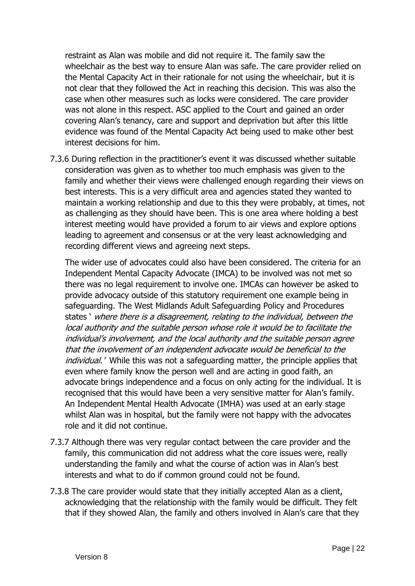restraint as Alan was mobile and did not require it. The family saw the wheelchair as the best way to ensure Alan was safe. The care provider relied on the Mental Capacity Act in their rationale for not using the wheelchair, but it is not clear that they followed the Act in reaching this decision. This was also the case when other measures such as locks were considered. The care provider was not alone in this respect. ASC applied to the Court and gained an order covering Alan's tenancy, care and support and deprivation but after this little evidence was found of the Mental Capacity Act being used to make other best interest decisions for him.

7.3.6 During reflection in the practitioner's event it was discussed whether suitable consideration was given as to whether too much emphasis was given to the family and whether their views were challenged enough regarding their views on best interests. This is a very difficult area and agencies stated they wanted to maintain a working relationship and due to this they were probably, at times, not as challenging as they should have been. This is one area where holding a best interest meeting would have provided a forum to air views and explore options leading to agreement and consensus or at the very least acknowledging and recording different views and agreeing next steps.

The wider use of advocates could also have been considered. The criteria for an Independent Mental Capacity Advocate (IMCA) to be involved was not met so there was no legal requirement to involve one. IMCAs can however be asked to provide advocacy outside of this statutory requirement one example being in safeguarding. The West Midlands Adult Safeguarding Policy and Procedures states ' where there is a disagreement, relating to the individual, between the local authority and the suitable person whose role it would be to facilitate the individual's involvement, and the local authority and the suitable person agree that the involvement of an independent advocate would be beneficial to the individual.' While this was not a safeguarding matter, the principle applies that even where family know the person well and are acting in good faith, an advocate brings independence and a focus on only acting for the individual. It is recognised that this would have been a very sensitive matter for Alan's family. An Independent Mental Health Advocate (IMHA) was used at an early stage whilst Alan was in hospital, but the family were not happy with the advocates role and it did not continue.

- 7.3.7 Although there was very regular contact between the care provider and the family, this communication did not address what the core issues were, really understanding the family and what the course of action was in Alan's best interests and what to do if common ground could not be found.
- 7.3.8 The care provider would state that they initially accepted Alan as a client, acknowledging that the relationship with the family would be difficult. They felt that if they showed Alan, the family and others involved in Alan's care that they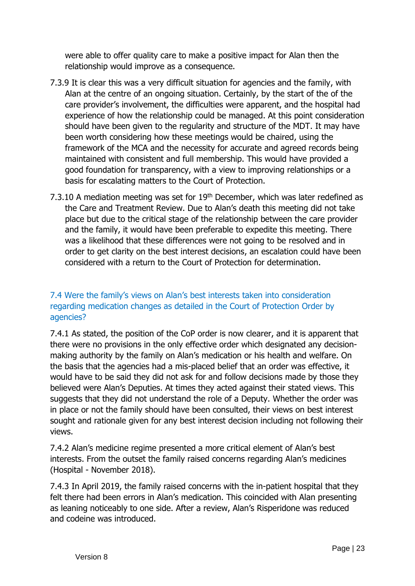were able to offer quality care to make a positive impact for Alan then the relationship would improve as a consequence.

- 7.3.9 It is clear this was a very difficult situation for agencies and the family, with Alan at the centre of an ongoing situation. Certainly, by the start of the of the care provider's involvement, the difficulties were apparent, and the hospital had experience of how the relationship could be managed. At this point consideration should have been given to the regularity and structure of the MDT. It may have been worth considering how these meetings would be chaired, using the framework of the MCA and the necessity for accurate and agreed records being maintained with consistent and full membership. This would have provided a good foundation for transparency, with a view to improving relationships or a basis for escalating matters to the Court of Protection.
- 7.3.10 A mediation meeting was set for  $19<sup>th</sup>$  December, which was later redefined as the Care and Treatment Review. Due to Alan's death this meeting did not take place but due to the critical stage of the relationship between the care provider and the family, it would have been preferable to expedite this meeting. There was a likelihood that these differences were not going to be resolved and in order to get clarity on the best interest decisions, an escalation could have been considered with a return to the Court of Protection for determination.

### 7.4 Were the family's views on Alan's best interests taken into consideration regarding medication changes as detailed in the Court of Protection Order by agencies?

7.4.1 As stated, the position of the CoP order is now clearer, and it is apparent that there were no provisions in the only effective order which designated any decisionmaking authority by the family on Alan's medication or his health and welfare. On the basis that the agencies had a mis-placed belief that an order was effective, it would have to be said they did not ask for and follow decisions made by those they believed were Alan's Deputies. At times they acted against their stated views. This suggests that they did not understand the role of a Deputy. Whether the order was in place or not the family should have been consulted, their views on best interest sought and rationale given for any best interest decision including not following their views.

7.4.2 Alan's medicine regime presented a more critical element of Alan's best interests. From the outset the family raised concerns regarding Alan's medicines (Hospital - November 2018).

7.4.3 In April 2019, the family raised concerns with the in-patient hospital that they felt there had been errors in Alan's medication. This coincided with Alan presenting as leaning noticeably to one side. After a review, Alan's Risperidone was reduced and codeine was introduced.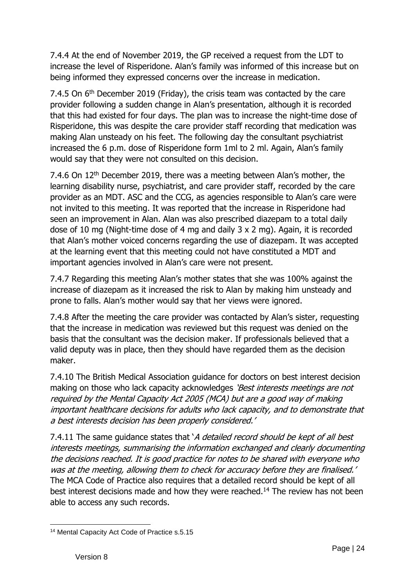7.4.4 At the end of November 2019, the GP received a request from the LDT to increase the level of Risperidone. Alan's family was informed of this increase but on being informed they expressed concerns over the increase in medication.

7.4.5 On 6<sup>th</sup> December 2019 (Friday), the crisis team was contacted by the care provider following a sudden change in Alan's presentation, although it is recorded that this had existed for four days. The plan was to increase the night-time dose of Risperidone, this was despite the care provider staff recording that medication was making Alan unsteady on his feet. The following day the consultant psychiatrist increased the 6 p.m. dose of Risperidone form 1ml to 2 ml. Again, Alan's family would say that they were not consulted on this decision.

7.4.6 On 12<sup>th</sup> December 2019, there was a meeting between Alan's mother, the learning disability nurse, psychiatrist, and care provider staff, recorded by the care provider as an MDT. ASC and the CCG, as agencies responsible to Alan's care were not invited to this meeting. It was reported that the increase in Risperidone had seen an improvement in Alan. Alan was also prescribed diazepam to a total daily dose of 10 mg (Night-time dose of 4 mg and daily 3 x 2 mg). Again, it is recorded that Alan's mother voiced concerns regarding the use of diazepam. It was accepted at the learning event that this meeting could not have constituted a MDT and important agencies involved in Alan's care were not present.

7.4.7 Regarding this meeting Alan's mother states that she was 100% against the increase of diazepam as it increased the risk to Alan by making him unsteady and prone to falls. Alan's mother would say that her views were ignored.

7.4.8 After the meeting the care provider was contacted by Alan's sister, requesting that the increase in medication was reviewed but this request was denied on the basis that the consultant was the decision maker. If professionals believed that a valid deputy was in place, then they should have regarded them as the decision maker.

7.4.10 The British Medical Association guidance for doctors on best interest decision making on those who lack capacity acknowledges 'Best interests meetings are not required by the Mental Capacity Act 2005 (MCA) but are a good way of making important healthcare decisions for adults who lack capacity, and to demonstrate that a best interests decision has been properly considered.'

7.4.11 The same guidance states that *`A detailed record should be kept of all best* interests meetings, summarising the information exchanged and clearly documenting the decisions reached. It is good practice for notes to be shared with everyone who was at the meeting, allowing them to check for accuracy before they are finalised.' The MCA Code of Practice also requires that a detailed record should be kept of all best interest decisions made and how they were reached.<sup>14</sup> The review has not been able to access any such records.

<sup>14</sup> Mental Capacity Act Code of Practice s.5.15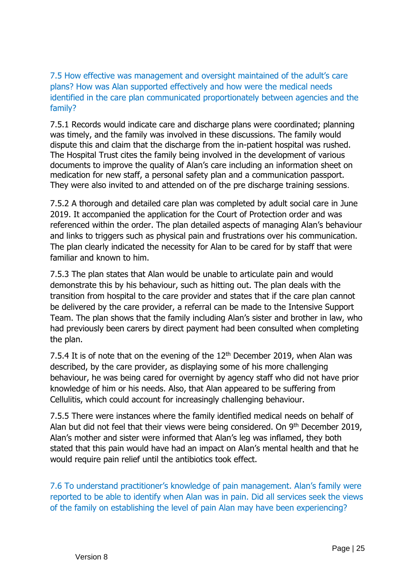7.5 How effective was management and oversight maintained of the adult's care plans? How was Alan supported effectively and how were the medical needs identified in the care plan communicated proportionately between agencies and the family?

7.5.1 Records would indicate care and discharge plans were coordinated; planning was timely, and the family was involved in these discussions. The family would dispute this and claim that the discharge from the in-patient hospital was rushed. The Hospital Trust cites the family being involved in the development of various documents to improve the quality of Alan's care including an information sheet on medication for new staff, a personal safety plan and a communication passport. They were also invited to and attended on of the pre discharge training sessions.

7.5.2 A thorough and detailed care plan was completed by adult social care in June 2019. It accompanied the application for the Court of Protection order and was referenced within the order. The plan detailed aspects of managing Alan's behaviour and links to triggers such as physical pain and frustrations over his communication. The plan clearly indicated the necessity for Alan to be cared for by staff that were familiar and known to him.

7.5.3 The plan states that Alan would be unable to articulate pain and would demonstrate this by his behaviour, such as hitting out. The plan deals with the transition from hospital to the care provider and states that if the care plan cannot be delivered by the care provider, a referral can be made to the Intensive Support Team. The plan shows that the family including Alan's sister and brother in law, who had previously been carers by direct payment had been consulted when completing the plan.

7.5.4 It is of note that on the evening of the  $12<sup>th</sup>$  December 2019, when Alan was described, by the care provider, as displaying some of his more challenging behaviour, he was being cared for overnight by agency staff who did not have prior knowledge of him or his needs. Also, that Alan appeared to be suffering from Cellulitis, which could account for increasingly challenging behaviour.

7.5.5 There were instances where the family identified medical needs on behalf of Alan but did not feel that their views were being considered. On 9<sup>th</sup> December 2019, Alan's mother and sister were informed that Alan's leg was inflamed, they both stated that this pain would have had an impact on Alan's mental health and that he would require pain relief until the antibiotics took effect.

7.6 To understand practitioner's knowledge of pain management. Alan's family were reported to be able to identify when Alan was in pain. Did all services seek the views of the family on establishing the level of pain Alan may have been experiencing?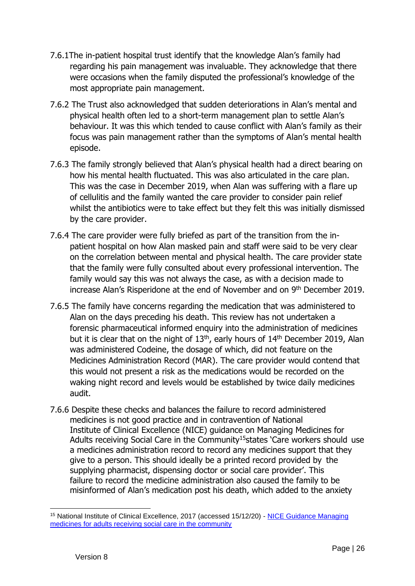- 7.6.1The in-patient hospital trust identify that the knowledge Alan's family had regarding his pain management was invaluable. They acknowledge that there were occasions when the family disputed the professional's knowledge of the most appropriate pain management.
- 7.6.2 The Trust also acknowledged that sudden deteriorations in Alan's mental and physical health often led to a short-term management plan to settle Alan's behaviour. It was this which tended to cause conflict with Alan's family as their focus was pain management rather than the symptoms of Alan's mental health episode.
- 7.6.3 The family strongly believed that Alan's physical health had a direct bearing on how his mental health fluctuated. This was also articulated in the care plan. This was the case in December 2019, when Alan was suffering with a flare up of cellulitis and the family wanted the care provider to consider pain relief whilst the antibiotics were to take effect but they felt this was initially dismissed by the care provider.
- 7.6.4 The care provider were fully briefed as part of the transition from the inpatient hospital on how Alan masked pain and staff were said to be very clear on the correlation between mental and physical health. The care provider state that the family were fully consulted about every professional intervention. The family would say this was not always the case, as with a decision made to increase Alan's Risperidone at the end of November and on 9<sup>th</sup> December 2019.
- 7.6.5 The family have concerns regarding the medication that was administered to Alan on the days preceding his death. This review has not undertaken a forensic pharmaceutical informed enquiry into the administration of medicines but it is clear that on the night of  $13<sup>th</sup>$ , early hours of  $14<sup>th</sup>$  December 2019, Alan was administered Codeine, the dosage of which, did not feature on the Medicines Administration Record (MAR). The care provider would contend that this would not present a risk as the medications would be recorded on the waking night record and levels would be established by twice daily medicines audit.
- 7.6.6 Despite these checks and balances the failure to record administered medicines is not good practice and in contravention of National Institute of Clinical Excellence (NICE) guidance on Managing Medicines for Adults receiving Social Care in the Community<sup>15</sup> states 'Care workers should use a medicines administration record to record any medicines support that they give to a person. This should ideally be a printed record provided by the supplying pharmacist, dispensing doctor or social care provider'. This failure to record the medicine administration also caused the family to be misinformed of Alan's medication post his death, which added to the anxiety

<sup>15</sup> National Institute of Clinical Excellence, 2017 (accessed 15/12/20) - [NICE Guidance Managing](https://www.nice.org.uk/guidance/ng67/resources/managing-medicines-for-adults-receiving-social-care-in-the-community-pdf-1837578800581)  [medicines for adults receiving social care in the community](https://www.nice.org.uk/guidance/ng67/resources/managing-medicines-for-adults-receiving-social-care-in-the-community-pdf-1837578800581)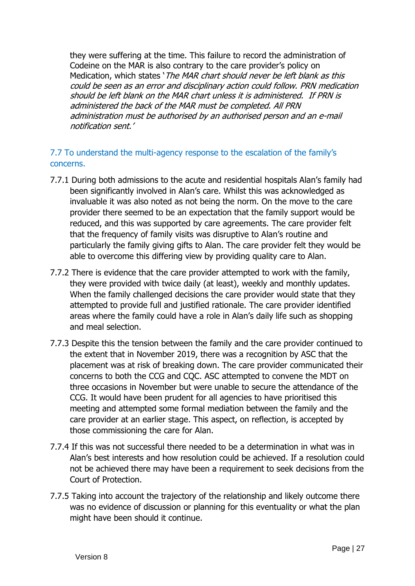they were suffering at the time. This failure to record the administration of Codeine on the MAR is also contrary to the care provider's policy on Medication, which states 'The MAR chart should never be left blank as this could be seen as an error and disciplinary action could follow. PRN medication should be left blank on the MAR chart unless it is administered. If PRN is administered the back of the MAR must be completed. All PRN administration must be authorised by an authorised person and an e-mail notification sent.'

### 7.7 To understand the multi-agency response to the escalation of the family's concerns.

- 7.7.1 During both admissions to the acute and residential hospitals Alan's family had been significantly involved in Alan's care. Whilst this was acknowledged as invaluable it was also noted as not being the norm. On the move to the care provider there seemed to be an expectation that the family support would be reduced, and this was supported by care agreements. The care provider felt that the frequency of family visits was disruptive to Alan's routine and particularly the family giving gifts to Alan. The care provider felt they would be able to overcome this differing view by providing quality care to Alan.
- 7.7.2 There is evidence that the care provider attempted to work with the family, they were provided with twice daily (at least), weekly and monthly updates. When the family challenged decisions the care provider would state that they attempted to provide full and justified rationale. The care provider identified areas where the family could have a role in Alan's daily life such as shopping and meal selection.
- 7.7.3 Despite this the tension between the family and the care provider continued to the extent that in November 2019, there was a recognition by ASC that the placement was at risk of breaking down. The care provider communicated their concerns to both the CCG and CQC. ASC attempted to convene the MDT on three occasions in November but were unable to secure the attendance of the CCG. It would have been prudent for all agencies to have prioritised this meeting and attempted some formal mediation between the family and the care provider at an earlier stage. This aspect, on reflection, is accepted by those commissioning the care for Alan.
- 7.7.4 If this was not successful there needed to be a determination in what was in Alan's best interests and how resolution could be achieved. If a resolution could not be achieved there may have been a requirement to seek decisions from the Court of Protection.
- 7.7.5 Taking into account the trajectory of the relationship and likely outcome there was no evidence of discussion or planning for this eventuality or what the plan might have been should it continue.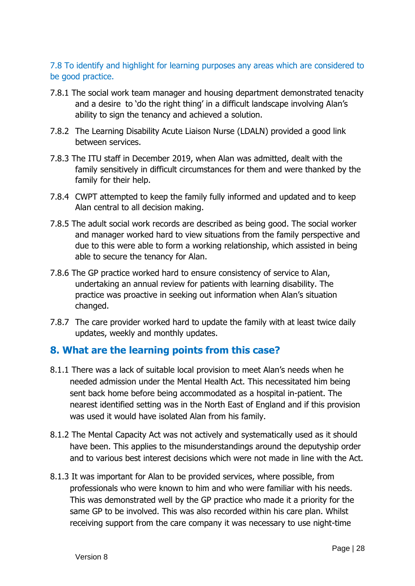### 7.8 To identify and highlight for learning purposes any areas which are considered to be good practice.

- 7.8.1 The social work team manager and housing department demonstrated tenacity and a desire to 'do the right thing' in a difficult landscape involving Alan's ability to sign the tenancy and achieved a solution.
- 7.8.2 The Learning Disability Acute Liaison Nurse (LDALN) provided a good link between services.
- 7.8.3 The ITU staff in December 2019, when Alan was admitted, dealt with the family sensitively in difficult circumstances for them and were thanked by the family for their help.
- 7.8.4 CWPT attempted to keep the family fully informed and updated and to keep Alan central to all decision making.
- 7.8.5 The adult social work records are described as being good. The social worker and manager worked hard to view situations from the family perspective and due to this were able to form a working relationship, which assisted in being able to secure the tenancy for Alan.
- 7.8.6 The GP practice worked hard to ensure consistency of service to Alan, undertaking an annual review for patients with learning disability. The practice was proactive in seeking out information when Alan's situation changed.
- 7.8.7 The care provider worked hard to update the family with at least twice daily updates, weekly and monthly updates.

### **8. What are the learning points from this case?**

- 8.1.1 There was a lack of suitable local provision to meet Alan's needs when he needed admission under the Mental Health Act. This necessitated him being sent back home before being accommodated as a hospital in-patient. The nearest identified setting was in the North East of England and if this provision was used it would have isolated Alan from his family.
- 8.1.2 The Mental Capacity Act was not actively and systematically used as it should have been. This applies to the misunderstandings around the deputyship order and to various best interest decisions which were not made in line with the Act.
- 8.1.3 It was important for Alan to be provided services, where possible, from professionals who were known to him and who were familiar with his needs. This was demonstrated well by the GP practice who made it a priority for the same GP to be involved. This was also recorded within his care plan. Whilst receiving support from the care company it was necessary to use night-time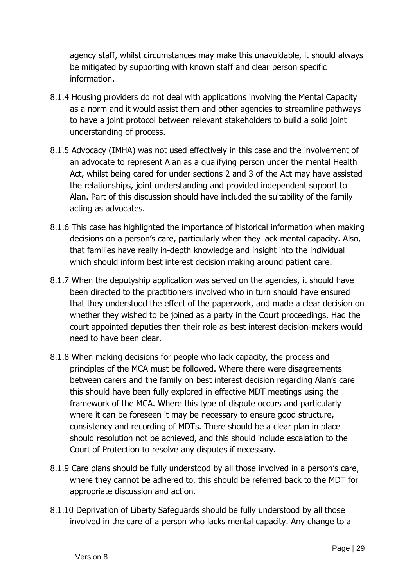agency staff, whilst circumstances may make this unavoidable, it should always be mitigated by supporting with known staff and clear person specific information.

- 8.1.4 Housing providers do not deal with applications involving the Mental Capacity as a norm and it would assist them and other agencies to streamline pathways to have a joint protocol between relevant stakeholders to build a solid joint understanding of process.
- 8.1.5 Advocacy (IMHA) was not used effectively in this case and the involvement of an advocate to represent Alan as a qualifying person under the mental Health Act, whilst being cared for under sections 2 and 3 of the Act may have assisted the relationships, joint understanding and provided independent support to Alan. Part of this discussion should have included the suitability of the family acting as advocates.
- 8.1.6 This case has highlighted the importance of historical information when making decisions on a person's care, particularly when they lack mental capacity. Also, that families have really in-depth knowledge and insight into the individual which should inform best interest decision making around patient care.
- 8.1.7 When the deputyship application was served on the agencies, it should have been directed to the practitioners involved who in turn should have ensured that they understood the effect of the paperwork, and made a clear decision on whether they wished to be joined as a party in the Court proceedings. Had the court appointed deputies then their role as best interest decision-makers would need to have been clear.
- 8.1.8 When making decisions for people who lack capacity, the process and principles of the MCA must be followed. Where there were disagreements between carers and the family on best interest decision regarding Alan's care this should have been fully explored in effective MDT meetings using the framework of the MCA. Where this type of dispute occurs and particularly where it can be foreseen it may be necessary to ensure good structure, consistency and recording of MDTs. There should be a clear plan in place should resolution not be achieved, and this should include escalation to the Court of Protection to resolve any disputes if necessary.
- 8.1.9 Care plans should be fully understood by all those involved in a person's care, where they cannot be adhered to, this should be referred back to the MDT for appropriate discussion and action.
- 8.1.10 Deprivation of Liberty Safeguards should be fully understood by all those involved in the care of a person who lacks mental capacity. Any change to a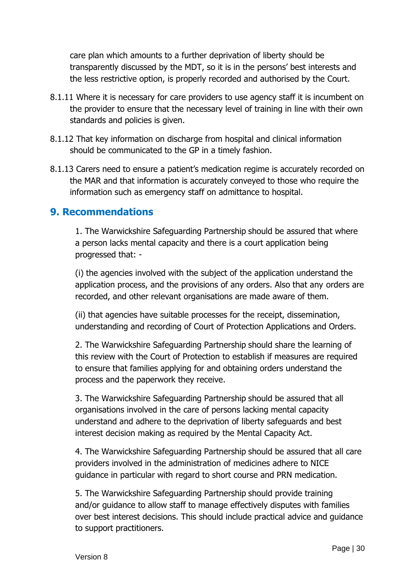care plan which amounts to a further deprivation of liberty should be transparently discussed by the MDT, so it is in the persons' best interests and the less restrictive option, is properly recorded and authorised by the Court.

- 8.1.11 Where it is necessary for care providers to use agency staff it is incumbent on the provider to ensure that the necessary level of training in line with their own standards and policies is given.
- 8.1.12 That key information on discharge from hospital and clinical information should be communicated to the GP in a timely fashion.
- 8.1.13 Carers need to ensure a patient's medication regime is accurately recorded on the MAR and that information is accurately conveyed to those who require the information such as emergency staff on admittance to hospital.

### **9. Recommendations**

1. The Warwickshire Safeguarding Partnership should be assured that where a person lacks mental capacity and there is a court application being progressed that: -

(i) the agencies involved with the subject of the application understand the application process, and the provisions of any orders. Also that any orders are recorded, and other relevant organisations are made aware of them.

(ii) that agencies have suitable processes for the receipt, dissemination, understanding and recording of Court of Protection Applications and Orders.

2. The Warwickshire Safeguarding Partnership should share the learning of this review with the Court of Protection to establish if measures are required to ensure that families applying for and obtaining orders understand the process and the paperwork they receive.

3. The Warwickshire Safeguarding Partnership should be assured that all organisations involved in the care of persons lacking mental capacity understand and adhere to the deprivation of liberty safeguards and best interest decision making as required by the Mental Capacity Act.

4. The Warwickshire Safeguarding Partnership should be assured that all care providers involved in the administration of medicines adhere to NICE guidance in particular with regard to short course and PRN medication.

5. The Warwickshire Safeguarding Partnership should provide training and/or guidance to allow staff to manage effectively disputes with families over best interest decisions. This should include practical advice and guidance to support practitioners.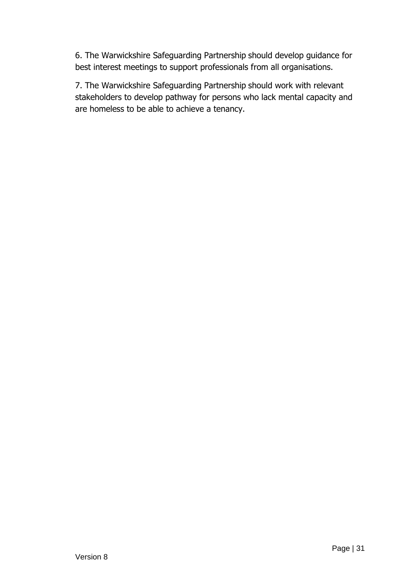6. The Warwickshire Safeguarding Partnership should develop guidance for best interest meetings to support professionals from all organisations.

7. The Warwickshire Safeguarding Partnership should work with relevant stakeholders to develop pathway for persons who lack mental capacity and are homeless to be able to achieve a tenancy.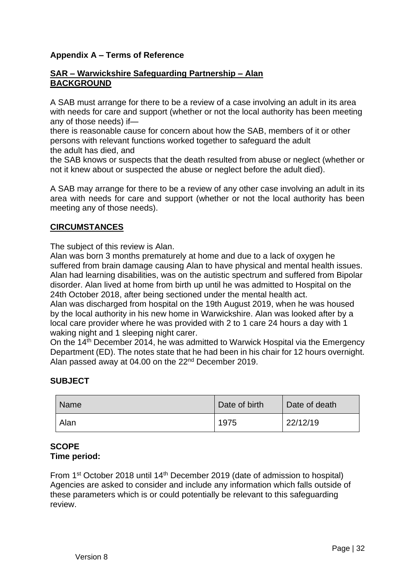### **Appendix A – Terms of Reference**

#### **SAR – Warwickshire Safeguarding Partnership – Alan BACKGROUND**

A SAB must arrange for there to be a review of a case involving an adult in its area with needs for care and support (whether or not the local authority has been meeting any of those needs) if—

there is reasonable cause for concern about how the SAB, members of it or other persons with relevant functions worked together to safeguard the adult

the adult has died, and

the SAB knows or suspects that the death resulted from abuse or neglect (whether or not it knew about or suspected the abuse or neglect before the adult died).

A SAB may arrange for there to be a review of any other case involving an adult in its area with needs for care and support (whether or not the local authority has been meeting any of those needs).

### **CIRCUMSTANCES**

The subject of this review is Alan.

Alan was born 3 months prematurely at home and due to a lack of oxygen he suffered from brain damage causing Alan to have physical and mental health issues. Alan had learning disabilities, was on the autistic spectrum and suffered from Bipolar disorder. Alan lived at home from birth up until he was admitted to Hospital on the 24th October 2018, after being sectioned under the mental health act.

Alan was discharged from hospital on the 19th August 2019, when he was housed by the local authority in his new home in Warwickshire. Alan was looked after by a local care provider where he was provided with 2 to 1 care 24 hours a day with 1 waking night and 1 sleeping night carer.

On the 14<sup>th</sup> December 2014, he was admitted to Warwick Hospital via the Emergency Department (ED). The notes state that he had been in his chair for 12 hours overnight. Alan passed away at 04.00 on the 22nd December 2019.

#### **SUBJECT**

| <b>Name</b> | Date of birth | Date of death |
|-------------|---------------|---------------|
| Alan        | 1975          | 22/12/19      |

#### **SCOPE Time period:**

From 1<sup>st</sup> October 2018 until 14<sup>th</sup> December 2019 (date of admission to hospital) Agencies are asked to consider and include any information which falls outside of these parameters which is or could potentially be relevant to this safeguarding review.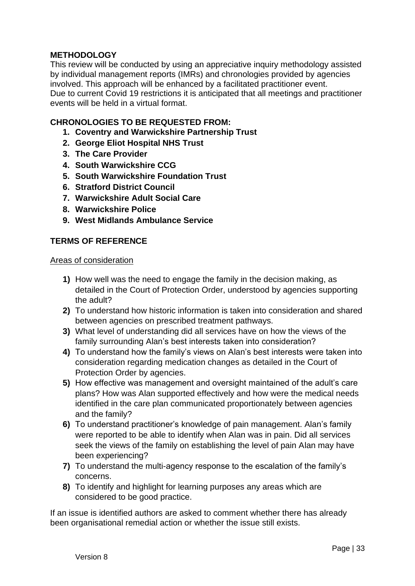### **METHODOLOGY**

This review will be conducted by using an appreciative inquiry methodology assisted by individual management reports (IMRs) and chronologies provided by agencies involved. This approach will be enhanced by a facilitated practitioner event. Due to current Covid 19 restrictions it is anticipated that all meetings and practitioner events will be held in a virtual format.

### **CHRONOLOGIES TO BE REQUESTED FROM:**

- **1. Coventry and Warwickshire Partnership Trust**
- **2. George Eliot Hospital NHS Trust**
- **3. The Care Provider**
- **4. South Warwickshire CCG**
- **5. South Warwickshire Foundation Trust**
- **6. Stratford District Council**
- **7. Warwickshire Adult Social Care**
- **8. Warwickshire Police**
- **9. West Midlands Ambulance Service**

### **TERMS OF REFERENCE**

#### Areas of consideration

- **1)** How well was the need to engage the family in the decision making, as detailed in the Court of Protection Order, understood by agencies supporting the adult?
- **2)** To understand how historic information is taken into consideration and shared between agencies on prescribed treatment pathways.
- **3)** What level of understanding did all services have on how the views of the family surrounding Alan's best interests taken into consideration?
- **4)** To understand how the family's views on Alan's best interests were taken into consideration regarding medication changes as detailed in the Court of Protection Order by agencies.
- **5)** How effective was management and oversight maintained of the adult's care plans? How was Alan supported effectively and how were the medical needs identified in the care plan communicated proportionately between agencies and the family?
- **6)** To understand practitioner's knowledge of pain management. Alan's family were reported to be able to identify when Alan was in pain. Did all services seek the views of the family on establishing the level of pain Alan may have been experiencing?
- **7)** To understand the multi-agency response to the escalation of the family's concerns.
- **8)** To identify and highlight for learning purposes any areas which are considered to be good practice.

If an issue is identified authors are asked to comment whether there has already been organisational remedial action or whether the issue still exists.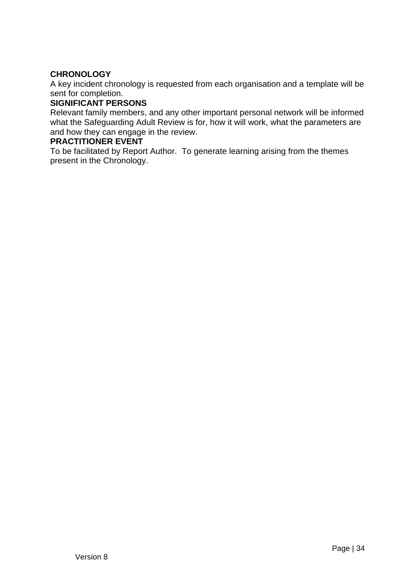### **CHRONOLOGY**

A key incident chronology is requested from each organisation and a template will be sent for completion.

#### **SIGNIFICANT PERSONS**

Relevant family members, and any other important personal network will be informed what the Safeguarding Adult Review is for, how it will work, what the parameters are and how they can engage in the review.

#### **PRACTITIONER EVENT**

To be facilitated by Report Author. To generate learning arising from the themes present in the Chronology.